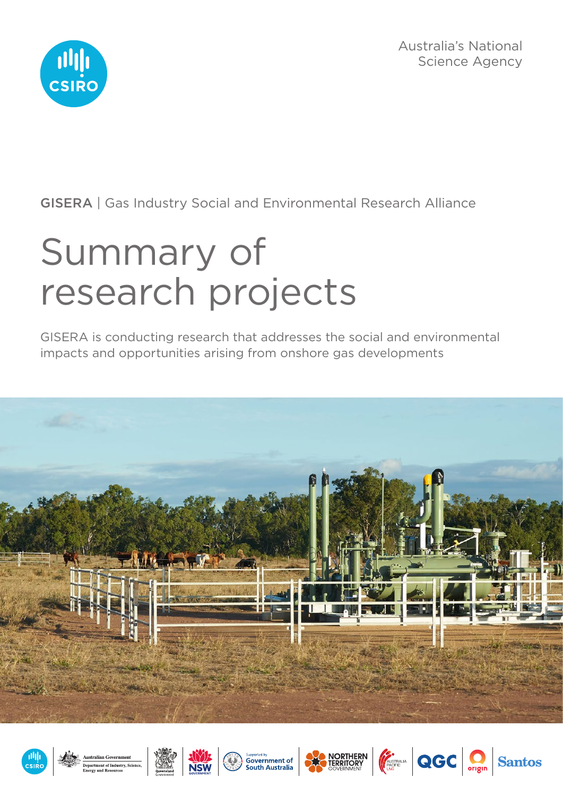Australia's National Science Agency



GISERA | Gas Industry Social and Environmental Research Alliance

# Summary of research projects

GISERA is conducting research that addresses the social and environmental impacts and opportunities arising from onshore gas developments













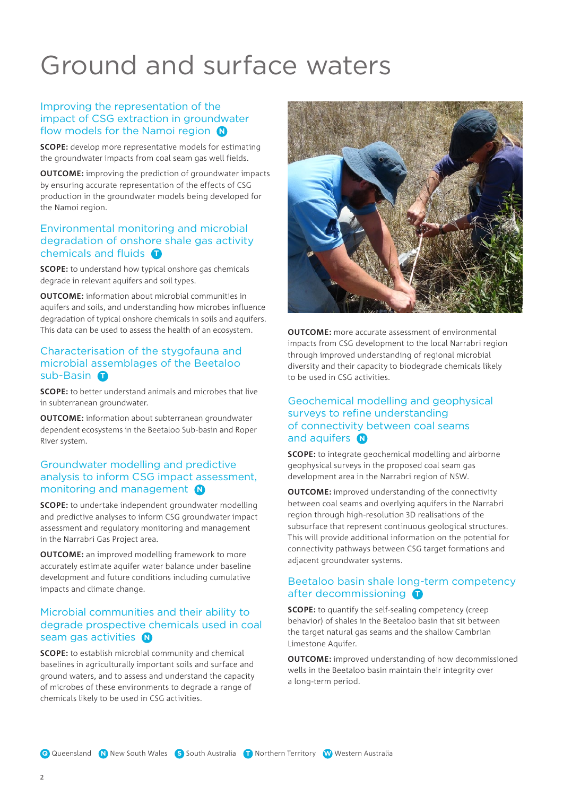# Ground and surface waters

### Improving the representation of the impact of CSG extraction in groundwater flow models for the Namoi region **N**

**SCOPE:** develop more representative models for estimating the groundwater impacts from coal seam gas well fields.

**OUTCOME:** improving the prediction of groundwater impacts by ensuring accurate representation of the effects of CSG production in the groundwater models being developed for the Namoi region.

### Environmental monitoring and microbial degradation of onshore shale gas activity chemicals and fluids **T**

**SCOPE:** to understand how typical onshore gas chemicals degrade in relevant aquifers and soil types.

**OUTCOME:** information about microbial communities in aquifers and soils, and understanding how microbes influence degradation of typical onshore chemicals in soils and aquifers. This data can be used to assess the health of an ecosystem.

### Characterisation of the stygofauna and microbial assemblages of the Beetaloo sub-Basin **D**

**SCOPE:** to better understand animals and microbes that live in subterranean groundwater.

**OUTCOME:** information about subterranean groundwater dependent ecosystems in the Beetaloo Sub-basin and Roper River system.

### Groundwater modelling and predictive analysis to inform CSG impact assessment, monitoring and management **N**

**SCOPE:** to undertake independent groundwater modelling and predictive analyses to inform CSG groundwater impact assessment and regulatory monitoring and management in the Narrabri Gas Project area.

**OUTCOME:** an improved modelling framework to more accurately estimate aquifer water balance under baseline development and future conditions including cumulative impacts and climate change.

### Microbial communities and their ability to degrade prospective chemicals used in coal seam gas activities **N**

**SCOPE:** to establish microbial community and chemical baselines in agriculturally important soils and surface and ground waters, and to assess and understand the capacity of microbes of these environments to degrade a range of chemicals likely to be used in CSG activities.



**OUTCOME:** more accurate assessment of environmental impacts from CSG development to the local Narrabri region through improved understanding of regional microbial diversity and their capacity to biodegrade chemicals likely to be used in CSG activities.

### Geochemical modelling and geophysical surveys to refine understanding of connectivity between coal seams and aquifers **N**

**SCOPE:** to integrate geochemical modelling and airborne geophysical surveys in the proposed coal seam gas development area in the Narrabri region of NSW.

**OUTCOME:** improved understanding of the connectivity between coal seams and overlying aquifers in the Narrabri region through high-resolution 3D realisations of the subsurface that represent continuous geological structures. This will provide additional information on the potential for connectivity pathways between CSG target formations and adjacent groundwater systems.

### Beetaloo basin shale long-term competency after decommissioning **O**

**SCOPE:** to quantify the self-sealing competency (creep behavior) of shales in the Beetaloo basin that sit between the target natural gas seams and the shallow Cambrian Limestone Aquifer.

**OUTCOME:** improved understanding of how decommissioned wells in the Beetaloo basin maintain their integrity over a long-term period.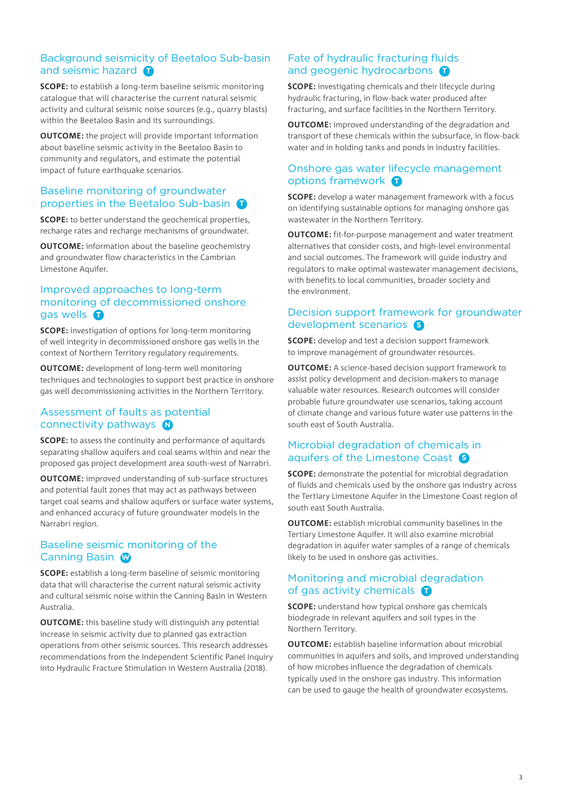### Background seismicity of Beetaloo Sub-basin and seismic hazard **O**

**SCOPE:** to establish a long-term baseline seismic monitoring catalogue that will characterise the current natural seismic activity and cultural seismic noise sources (e.g., quarry blasts) within the Beetaloo Basin and its surroundings.

**OUTCOME:** the project will provide important information about baseline seismic activity in the Beetaloo Basin to community and regulators, and estimate the potential impact of future earthquake scenarios.

### Baseline monitoring of groundwater properties in the Beetaloo Sub-basin **O**

**SCOPE:** to better understand the geochemical properties, recharge rates and recharge mechanisms of groundwater.

**OUTCOME:** information about the baseline geochemistry and groundwater flow characteristics in the Cambrian Limestone Aquifer.

### Improved approaches to long-term monitoring of decommissioned onshore gas wells **O**

**SCOPE:** investigation of options for long-term monitoring of well integrity in decommissioned onshore gas wells in the context of Northern Territory regulatory requirements.

**OUTCOME:** development of long-term well monitoring techniques and technologies to support best practice in onshore gas well decommissioning activities in the Northern Territory.

### Assessment of faults as potential connectivity pathways **N**

**SCOPE:** to assess the continuity and performance of aquitards separating shallow aquifers and coal seams within and near the proposed gas project development area south-west of Narrabri.

**OUTCOME:** improved understanding of sub-surface structures and potential fault zones that may act as pathways between target coal seams and shallow aquifers or surface water systems, and enhanced accuracy of future groundwater models in the Narrabri region.

### Baseline seismic monitoring of the Canning Basin **W**

**SCOPE:** establish a long-term baseline of seismic monitoring data that will characterise the current natural seismic activity and cultural seismic noise within the Canning Basin in Western Australia.

**OUTCOME:** this baseline study will distinguish any potential increase in seismic activity due to planned gas extraction operations from other seismic sources. This research addresses recommendations from the Independent Scientific Panel Inquiry into Hydraulic Fracture Stimulation in Western Australia (2018).

### Fate of hydraulic fracturing fluids and geogenic hydrocarbons **T**

**SCOPE:** investigating chemicals and their lifecycle during hydraulic fracturing, in flow-back water produced after fracturing, and surface facilities in the Northern Territory.

**OUTCOME:** improved understanding of the degradation and transport of these chemicals within the subsurface, in flow-back water and in holding tanks and ponds in industry facilities.

### Onshore gas water lifecycle management options framework **D**

**SCOPE:** develop a water management framework with a focus on identifying sustainable options for managing onshore gas wastewater in the Northern Territory.

**OUTCOME:** fit-for-purpose management and water treatment alternatives that consider costs, and high-level environmental and social outcomes. The framework will guide industry and regulators to make optimal wastewater management decisions, with benefits to local communities, broader society and the environment.

### Decision support framework for groundwater development scenarios **S**

**SCOPE:** develop and test a decision support framework to improve management of groundwater resources.

**OUTCOME:** A science-based decision support framework to assist policy development and decision-makers to manage valuable water resources. Research outcomes will consider probable future groundwater use scenarios, taking account of climate change and various future water use patterns in the south east of South Australia.

### Microbial degradation of chemicals in aquifers of the Limestone Coast **S**

**SCOPE:** demonstrate the potential for microbial degradation of fluids and chemicals used by the onshore gas industry across the Tertiary Limestone Aquifer in the Limestone Coast region of south east South Australia.

**OUTCOME:** establish microbial community baselines in the Tertiary Limestone Aquifer. It will also examine microbial degradation in aquifer water samples of a range of chemicals likely to be used in onshore gas activities.

### Monitoring and microbial degradation of gas activity chemicals **D**

**SCOPE:** understand how typical onshore gas chemicals biodegrade in relevant aquifers and soil types in the Northern Territory.

**OUTCOME:** establish baseline information about microbial communities in aquifers and soils, and improved understanding of how microbes influence the degradation of chemicals typically used in the onshore gas industry. This information can be used to gauge the health of groundwater ecosystems.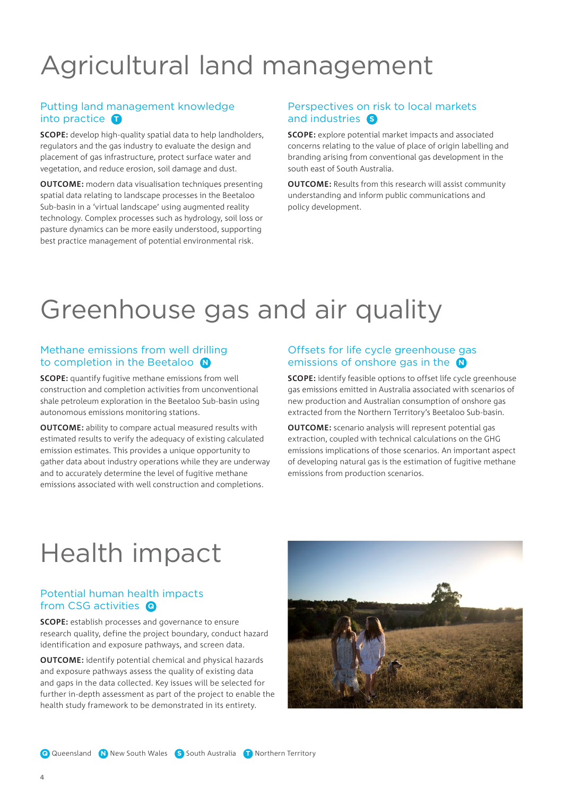# Agricultural land management

### Putting land management knowledge into practice **D**

**SCOPE:** develop high-quality spatial data to help landholders, regulators and the gas industry to evaluate the design and placement of gas infrastructure, protect surface water and vegetation, and reduce erosion, soil damage and dust.

**OUTCOME:** modern data visualisation techniques presenting spatial data relating to landscape processes in the Beetaloo Sub-basin in a 'virtual landscape' using augmented reality technology. Complex processes such as hydrology, soil loss or pasture dynamics can be more easily understood, supporting best practice management of potential environmental risk.

### Perspectives on risk to local markets and industries **S**

**SCOPE:** explore potential market impacts and associated concerns relating to the value of place of origin labelling and branding arising from conventional gas development in the south east of South Australia.

**OUTCOME:** Results from this research will assist community understanding and inform public communications and policy development.

### Greenhouse gas and air quality

### Methane emissions from well drilling to completion in the Beetaloo **N**

**SCOPE:** quantify fugitive methane emissions from well construction and completion activities from unconventional shale petroleum exploration in the Beetaloo Sub-basin using autonomous emissions monitoring stations.

**OUTCOME:** ability to compare actual measured results with estimated results to verify the adequacy of existing calculated emission estimates. This provides a unique opportunity to gather data about industry operations while they are underway and to accurately determine the level of fugitive methane emissions associated with well construction and completions.

### Offsets for life cycle greenhouse gas emissions of onshore gas in the **N**

**SCOPE:** identify feasible options to offset life cycle greenhouse gas emissions emitted in Australia associated with scenarios of new production and Australian consumption of onshore gas extracted from the Northern Territory's Beetaloo Sub-basin.

**OUTCOME:** scenario analysis will represent potential gas extraction, coupled with technical calculations on the GHG emissions implications of those scenarios. An important aspect of developing natural gas is the estimation of fugitive methane emissions from production scenarios.

### Health impact

### Potential human health impacts from CSG activities **Q**

**SCOPE:** establish processes and governance to ensure research quality, define the project boundary, conduct hazard identification and exposure pathways, and screen data.

**OUTCOME:** identify potential chemical and physical hazards and exposure pathways assess the quality of existing data and gaps in the data collected. Key issues will be selected for further in-depth assessment as part of the project to enable the health study framework to be demonstrated in its entirety.

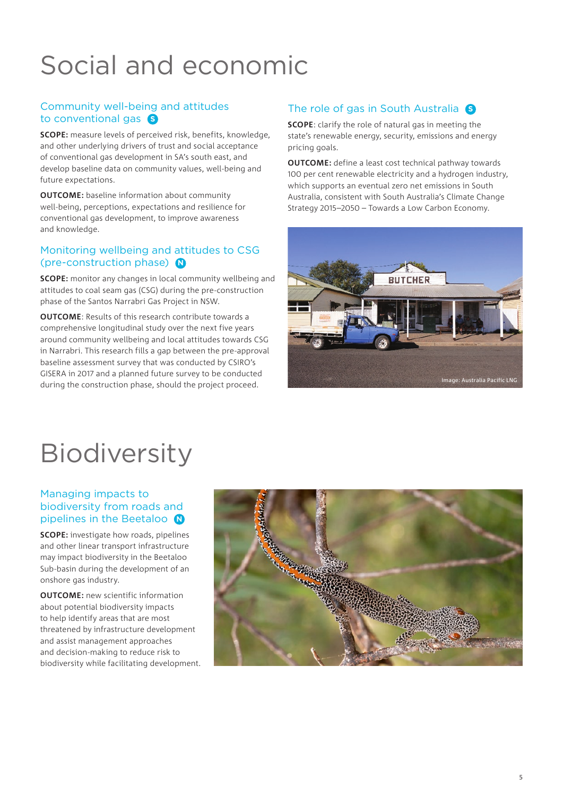# Social and economic

### Community well‑being and attitudes to conventional gas **S**

**SCOPE:** measure levels of perceived risk, benefits, knowledge, and other underlying drivers of trust and social acceptance of conventional gas development in SA's south east, and develop baseline data on community values, well-being and future expectations.

**OUTCOME:** baseline information about community well-being, perceptions, expectations and resilience for conventional gas development, to improve awareness and knowledge.

### Monitoring wellbeing and attitudes to CSG (pre-construction phase) **N**

**SCOPE:** monitor any changes in local community wellbeing and attitudes to coal seam gas (CSG) during the pre-construction phase of the Santos Narrabri Gas Project in NSW.

**OUTCOME**: Results of this research contribute towards a comprehensive longitudinal study over the next five years around community wellbeing and local attitudes towards CSG in Narrabri. This research fills a gap between the pre-approval baseline assessment survey that was conducted by CSIRO's GISERA in 2017 and a planned future survey to be conducted during the construction phase, should the project proceed.

### The role of gas in South Australia **S**

**SCOPE**: clarify the role of natural gas in meeting the state's renewable energy, security, emissions and energy pricing goals.

**OUTCOME:** define a least cost technical pathway towards 100 per cent renewable electricity and a hydrogen industry, which supports an eventual zero net emissions in South Australia, consistent with South Australia's Climate Change Strategy 2015–2050 – Towards a Low Carbon Economy.



## **Biodiversity**

### Managing impacts to biodiversity from roads and pipelines in the Beetaloo **N**

**SCOPE:** investigate how roads, pipelines and other linear transport infrastructure may impact biodiversity in the Beetaloo Sub-basin during the development of an onshore gas industry.

**OUTCOME:** new scientific information about potential biodiversity impacts to help identify areas that are most threatened by infrastructure development and assist management approaches and decision-making to reduce risk to biodiversity while facilitating development.

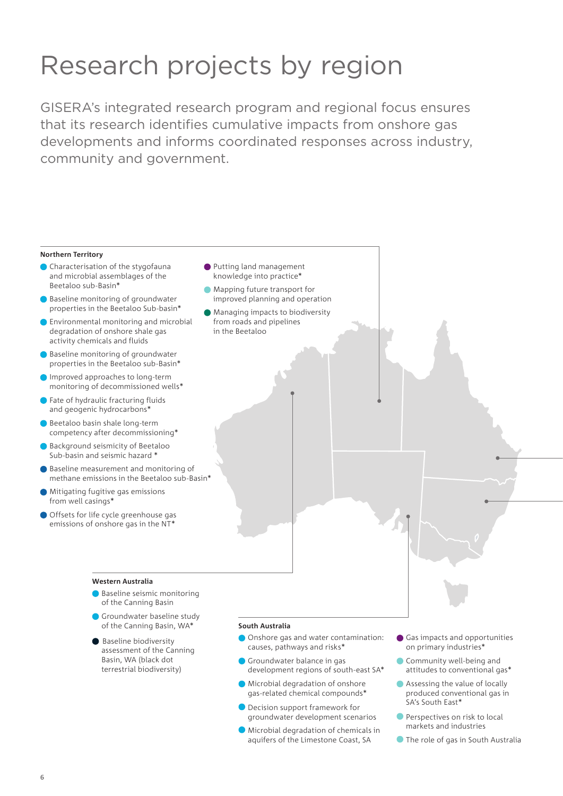# Research projects by region

GISERA's integrated research program and regional focus ensures that its research identifies cumulative impacts from onshore gas developments and informs coordinated responses across industry, community and government.

### **Northern Territory**

- Characterisation of the stygofauna and microbial assemblages of the Beetaloo sub-Basin\*
- Baseline monitoring of groundwater properties in the Beetaloo Sub-basin\*
- **Environmental monitoring and microbial** degradation of onshore shale gas activity chemicals and fluids
- Baseline monitoring of groundwater properties in the Beetaloo sub-Basin\*
- Improved approaches to long-term monitoring of decommissioned wells\*
- Fate of hydraulic fracturing fluids and geogenic hydrocarbons\*
- Beetaloo basin shale long-term competency after decommissioning\*
- Background seismicity of Beetaloo Sub-basin and seismic hazard \*
- Baseline measurement and monitoring of methane emissions in the Beetaloo sub-Basin\*
- Mitigating fugitive gas emissions from well casings\*
- Offsets for life cycle greenhouse gas emissions of onshore gas in the NT\*
- Putting land management knowledge into practice\*
- **Mapping future transport for** improved planning and operation
- Managing impacts to biodiversity from roads and pipelines in the Beetaloo

### **Western Australia**

- **Baseline seismic monitoring** of the Canning Basin
- Groundwater baseline study of the Canning Basin, WA\*
- Baseline biodiversity assessment of the Canning Basin, WA (black dot terrestrial biodiversity)

#### **South Australia**

- Onshore gas and water contamination: causes, pathways and risks\*
- Groundwater balance in gas development regions of south-east SA\*
- Microbial degradation of onshore gas-related chemical compounds\*
	- Decision support framework for groundwater development scenarios
- Microbial degradation of chemicals in aquifers of the Limestone Coast, SA
- Gas impacts and opportunities on primary industries\*
- Community well-being and attitudes to conventional gas\*
- Assessing the value of locally produced conventional gas in SA's South East\*
- **Perspectives on risk to local** markets and industries
- **The role of gas in South Australia**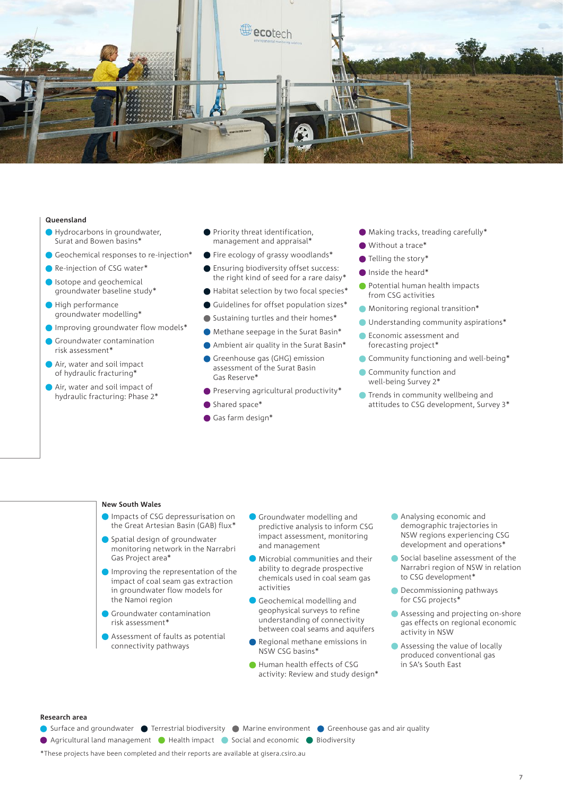

### **Queensland**

- Hydrocarbons in groundwater, Surat and Bowen basins\*
- Geochemical responses to re-injection\*
- Re-injection of CSG water\*
- Isotope and geochemical groundwater baseline study\*
- High performance groundwater modelling\*
- Improving groundwater flow models\*
- Groundwater contamination risk assessment\*
- Air, water and soil impact of hydraulic fracturing\*
- Air, water and soil impact of hydraulic fracturing: Phase 2\*
- **Priority threat identification,** management and appraisal\*
- Fire ecology of grassy woodlands\*
- **Ensuring biodiversity offset success:** the right kind of seed for a rare daisy\*
- Habitat selection by two focal species\*
- Guidelines for offset population sizes\*
- Sustaining turtles and their homes\*
- Methane seepage in the Surat Basin\*
- Ambient air quality in the Surat Basin\*
- Greenhouse gas (GHG) emission assessment of the Surat Basin Gas Reserve\*
- Preserving agricultural productivity\*
- Shared space\*
- Gas farm design\*
- Making tracks, treading carefully\*
- Without a trace<sup>\*</sup>
- Telling the story\*
- Inside the heard\*
- **Potential human health impacts** from CSG activities
- Monitoring regional transition\*
- Understanding community aspirations\*
- **Economic assessment and** forecasting project\*
- Community functioning and well-being\*
- Community function and well-being Survey 2\*
- **Trends in community wellbeing and** attitudes to CSG development, Survey 3\*

### **New South Wales**

- **Impacts of CSG depressurisation on** the Great Artesian Basin (GAB) flux\*
- Spatial design of groundwater monitoring network in the Narrabri Gas Project area\*
- Improving the representation of the impact of coal seam gas extraction in groundwater flow models for the Namoi region
- Groundwater contamination risk assessment\*
- Assessment of faults as potential connectivity pathways
- Groundwater modelling and predictive analysis to inform CSG impact assessment, monitoring and management
- Microbial communities and their ability to degrade prospective chemicals used in coal seam gas activities
- Geochemical modelling and geophysical surveys to refine understanding of connectivity between coal seams and aquifers
- Regional methane emissions in NSW CSG basins\*
- Human health effects of CSG activity: Review and study design\*
- Analysing economic and demographic trajectories in NSW regions experiencing CSG development and operations\*
- Social baseline assessment of the Narrabri region of NSW in relation to CSG development\*
- **Decommissioning pathways** for CSG projects\*
- Assessing and projecting on-shore gas effects on regional economic activity in NSW
- Assessing the value of locally produced conventional gas in SA's South East

#### **Research area**

- Surface and groundwater Terrestrial biodiversity Marine environment Greenhouse gas and air quality
- Agricultural land management Health impact Social and economic Biodiversity
- 
- \*These projects have been completed and their reports are available at gisera.csiro.au